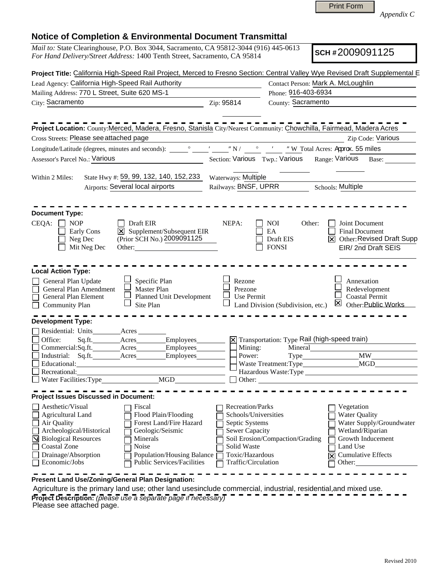|                                                                                                                                                                                                                                                                                                                                                           | <b>Print Form</b><br>Appendix C                                                                                                                                                                                                                                                                                                                    |  |  |  |  |
|-----------------------------------------------------------------------------------------------------------------------------------------------------------------------------------------------------------------------------------------------------------------------------------------------------------------------------------------------------------|----------------------------------------------------------------------------------------------------------------------------------------------------------------------------------------------------------------------------------------------------------------------------------------------------------------------------------------------------|--|--|--|--|
| <b>Notice of Completion &amp; Environmental Document Transmittal</b>                                                                                                                                                                                                                                                                                      |                                                                                                                                                                                                                                                                                                                                                    |  |  |  |  |
| Mail to: State Clearinghouse, P.O. Box 3044, Sacramento, CA 95812-3044 (916) 445-0613<br>For Hand Delivery/Street Address: 1400 Tenth Street, Sacramento, CA 95814                                                                                                                                                                                        | SCH#2009091125                                                                                                                                                                                                                                                                                                                                     |  |  |  |  |
|                                                                                                                                                                                                                                                                                                                                                           | Project Title: California High-Speed Rail Project, Merced to Fresno Section: Central Valley Wye Revised Draft Supplemental E                                                                                                                                                                                                                       |  |  |  |  |
| Lead Agency: California High-Speed Rail Authority<br>Mailing Address: 770 L Street, Suite 620 MS-1                                                                                                                                                                                                                                                        | Contact Person: Mark A. McLoughlin<br>Phone: 916-403-6934                                                                                                                                                                                                                                                                                          |  |  |  |  |
| City: Sacramento                                                                                                                                                                                                                                                                                                                                          | County: Sacramento                                                                                                                                                                                                                                                                                                                                 |  |  |  |  |
|                                                                                                                                                                                                                                                                                                                                                           | Zip: 95814                                                                                                                                                                                                                                                                                                                                         |  |  |  |  |
|                                                                                                                                                                                                                                                                                                                                                           | Project Location: County:Merced, Madera, Fresno, Stanisla City/Nearest Community: Chowchilla, Fairmead, Madera Acres                                                                                                                                                                                                                               |  |  |  |  |
| Cross Streets: Please see attached page                                                                                                                                                                                                                                                                                                                   | Zip Code: Various                                                                                                                                                                                                                                                                                                                                  |  |  |  |  |
|                                                                                                                                                                                                                                                                                                                                                           |                                                                                                                                                                                                                                                                                                                                                    |  |  |  |  |
| Assessor's Parcel No.: Various                                                                                                                                                                                                                                                                                                                            | Section: Various Twp.: Various<br>Range: Various<br>Base:                                                                                                                                                                                                                                                                                          |  |  |  |  |
| State Hwy #: 59, 99, 132, 140, 152, 233<br>Within 2 Miles:                                                                                                                                                                                                                                                                                                | Waterways: Multiple                                                                                                                                                                                                                                                                                                                                |  |  |  |  |
| Airports: Several local airports                                                                                                                                                                                                                                                                                                                          | Railways: BNSF, UPRR<br><b>Schools: Multiple</b>                                                                                                                                                                                                                                                                                                   |  |  |  |  |
|                                                                                                                                                                                                                                                                                                                                                           |                                                                                                                                                                                                                                                                                                                                                    |  |  |  |  |
| <b>Document Type:</b><br>CEQA:<br>Draft EIR<br><b>NOP</b><br>X Supplement/Subsequent EIR<br>Early Cons<br>(Prior SCH No.) 2009091125<br>Neg Dec<br>Mit Neg Dec<br>Other:                                                                                                                                                                                  | NEPA:<br>Joint Document<br><b>NOI</b><br>Other:<br>EA<br><b>Final Document</b><br><b>X</b> Other: Revised Draft Supp<br>Draft EIS<br>EIR/2nd Draft SEIS<br><b>FONSI</b>                                                                                                                                                                            |  |  |  |  |
| <b>Local Action Type:</b><br>Specific Plan<br>General Plan Update                                                                                                                                                                                                                                                                                         | Annexation<br>Rezone                                                                                                                                                                                                                                                                                                                               |  |  |  |  |
| General Plan Amendment<br>Master Plan<br><b>Planned Unit Development</b><br>General Plan Element<br>Site Plan<br><b>Community Plan</b>                                                                                                                                                                                                                    | Redevelopment<br>Prezone<br>Use Permit<br><b>Coastal Permit</b><br>Other: Public Works<br>Land Division (Subdivision, etc.)                                                                                                                                                                                                                        |  |  |  |  |
| <b>Development Type:</b>                                                                                                                                                                                                                                                                                                                                  |                                                                                                                                                                                                                                                                                                                                                    |  |  |  |  |
| Residential: Units<br>Acres<br>Office:<br>Employees<br>Commercial:Sq.ft.__________Acres________<br>Employees                                                                                                                                                                                                                                              | <b>X</b> Transportation: Type Rail (high-speed train)<br>Mineral<br>Mining:                                                                                                                                                                                                                                                                        |  |  |  |  |
| Sq.ft. Acres<br>Employees<br>Industrial:                                                                                                                                                                                                                                                                                                                  | <b>MW</b><br>Power:<br>Type                                                                                                                                                                                                                                                                                                                        |  |  |  |  |
| Educational:                                                                                                                                                                                                                                                                                                                                              |                                                                                                                                                                                                                                                                                                                                                    |  |  |  |  |
| Recreational:<br><u> 1989 - Johann Barbara, martxa alemaniar amerikan a</u><br>MGD<br>Water Facilities: Type                                                                                                                                                                                                                                              | Other:                                                                                                                                                                                                                                                                                                                                             |  |  |  |  |
|                                                                                                                                                                                                                                                                                                                                                           |                                                                                                                                                                                                                                                                                                                                                    |  |  |  |  |
| <b>Project Issues Discussed in Document:</b>                                                                                                                                                                                                                                                                                                              |                                                                                                                                                                                                                                                                                                                                                    |  |  |  |  |
| Aesthetic/Visual<br>Fiscal<br><b>Agricultural Land</b><br>Flood Plain/Flooding<br>Forest Land/Fire Hazard<br>Air Quality<br>Archeological/Historical<br>Geologic/Seismic<br><b>N</b> Biological Resources<br>Minerals<br>Coastal Zone<br>Noise<br>Drainage/Absorption<br>Population/Housing Balance<br><b>Public Services/Facilities</b><br>Economic/Jobs | Recreation/Parks<br>Vegetation<br>Schools/Universities<br><b>Water Quality</b><br>Water Supply/Groundwater<br>Septic Systems<br>Wetland/Riparian<br><b>Sewer Capacity</b><br>Growth Inducement<br>Soil Erosion/Compaction/Grading<br>Solid Waste<br>Land Use<br>Toxic/Hazardous<br><b>Cumulative Effects</b><br>反<br>Traffic/Circulation<br>Other: |  |  |  |  |
| Present Land Use/Zoning/General Plan Designation:                                                                                                                                                                                                                                                                                                         | Agriculture is the primary land use; other land usesinclude commercial, industrial, residential and mixed use,                                                                                                                                                                                                                                     |  |  |  |  |

Agriculture is the primary land use; other land usesinclude commercial, industrial, residential,and mixed use. **Project Description:** *(please use a separate page if necessary)* Please see attached page.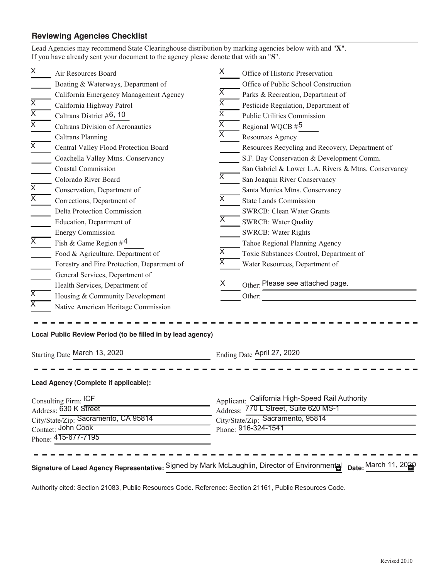# **Reviewing Agencies Checklist**

| X                                                          | Air Resources Board                                                                           | X.                      | Office of Historic Preservation                          |  |
|------------------------------------------------------------|-----------------------------------------------------------------------------------------------|-------------------------|----------------------------------------------------------|--|
|                                                            | Boating & Waterways, Department of                                                            |                         | Office of Public School Construction                     |  |
|                                                            | California Emergency Management Agency                                                        | X                       | Parks & Recreation, Department of                        |  |
| $\overline{X}$                                             | California Highway Patrol                                                                     | X                       | Pesticide Regulation, Department of                      |  |
| $\overline{\mathsf{X}}$                                    | Caltrans District #6, 10                                                                      | $\overline{\mathsf{x}}$ | Public Utilities Commission                              |  |
| $\overline{X}$                                             | Caltrans Division of Aeronautics                                                              | $\overline{\mathsf{X}}$ | Regional WQCB #5                                         |  |
|                                                            | <b>Caltrans Planning</b>                                                                      | X                       | Resources Agency                                         |  |
| $\overline{X}$                                             | Central Valley Flood Protection Board                                                         |                         | Resources Recycling and Recovery, Department of          |  |
|                                                            | Coachella Valley Mtns. Conservancy                                                            |                         | S.F. Bay Conservation & Development Comm.                |  |
|                                                            | <b>Coastal Commission</b>                                                                     |                         | San Gabriel & Lower L.A. Rivers & Mtns. Conservancy      |  |
|                                                            | Colorado River Board                                                                          | $\overline{\mathsf{x}}$ | San Joaquin River Conservancy                            |  |
| $\overline{\mathsf{x}}$                                    | Conservation, Department of                                                                   |                         | Santa Monica Mtns. Conservancy                           |  |
| $\overline{\mathsf{X}}$                                    | Corrections, Department of                                                                    | X                       | <b>State Lands Commission</b>                            |  |
|                                                            | Delta Protection Commission                                                                   |                         | <b>SWRCB: Clean Water Grants</b>                         |  |
|                                                            | Education, Department of                                                                      | X.                      | <b>SWRCB: Water Quality</b>                              |  |
|                                                            | <b>Energy Commission</b>                                                                      |                         | <b>SWRCB: Water Rights</b>                               |  |
| $\overline{\mathsf{x}}$                                    | Fish & Game Region $#$ <sup>4</sup>                                                           |                         | Tahoe Regional Planning Agency                           |  |
|                                                            | Food & Agriculture, Department of                                                             | X                       | Toxic Substances Control, Department of                  |  |
|                                                            | Forestry and Fire Protection, Department of                                                   | $\overline{\mathsf{x}}$ | Water Resources, Department of                           |  |
|                                                            | General Services, Department of                                                               |                         |                                                          |  |
|                                                            | Health Services, Department of                                                                | X                       | Other: Please see attached page.                         |  |
| $\overline{\mathsf{x}}$                                    | Housing & Community Development                                                               |                         | Other:                                                   |  |
| $\overline{\mathsf{X}}$                                    | Native American Heritage Commission                                                           |                         |                                                          |  |
|                                                            |                                                                                               |                         |                                                          |  |
|                                                            |                                                                                               |                         |                                                          |  |
|                                                            | Local Public Review Period (to be filled in by lead agency)                                   |                         |                                                          |  |
|                                                            |                                                                                               |                         |                                                          |  |
| Starting Date March 13, 2020                               |                                                                                               |                         | Ending Date April 27, 2020                               |  |
|                                                            |                                                                                               |                         |                                                          |  |
|                                                            | Lead Agency (Complete if applicable):                                                         |                         |                                                          |  |
|                                                            |                                                                                               |                         |                                                          |  |
| Consulting Firm: ICF                                       |                                                                                               |                         | Applicant: California High-Speed Rail Authority          |  |
| Address: 630 K Street                                      |                                                                                               |                         | Address: 770 L Street, Suite 620 MS-1                    |  |
| City/State/Zip: Sacramento, CA 95814<br>Contact: John Cook |                                                                                               |                         | City/State/Zip: Sacramento, 95814<br>Phone: 916-324-1541 |  |
| Phone: 415-677-7195                                        |                                                                                               |                         |                                                          |  |
|                                                            |                                                                                               |                         |                                                          |  |
|                                                            |                                                                                               |                         |                                                          |  |
|                                                            | Signature of Lead Agency Representative: Signed by Mark McLaughlin, Director of Environmental |                         | Date: March 11, 2020                                     |  |
|                                                            |                                                                                               |                         |                                                          |  |

Authority cited: Section 21083, Public Resources Code. Reference: Section 21161, Public Resources Code.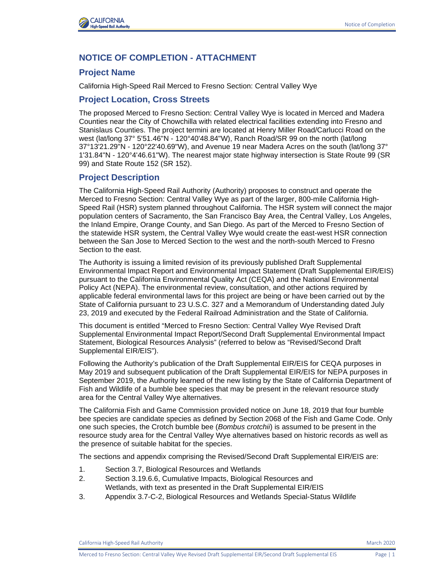

### **NOTICE OF COMPLETION - ATTACHMENT**

#### **Project Name**

California High-Speed Rail Merced to Fresno Section: Central Valley Wye

#### **Project Location, Cross Streets**

The proposed Merced to Fresno Section: Central Valley Wye is located in Merced and Madera Counties near the City of Chowchilla with related electrical facilities extending into Fresno and Stanislaus Counties. The project termini are located at Henry Miller Road/Carlucci Road on the west (lat/long 37° 5'51.46"N - 120°40'48.84"W), Ranch Road/SR 99 on the north (lat/long 37°13'21.29"N - 120°22'40.69"W), and Avenue 19 near Madera Acres on the south (lat/long 37° 1'31.84"N - 120°4'46.61"W). The nearest major state highway intersection is State Route 99 (SR 99) and State Route 152 (SR 152).

#### **Project Description**

The California High-Speed Rail Authority (Authority) proposes to construct and operate the Merced to Fresno Section: Central Valley Wye as part of the larger, 800-mile California High-Speed Rail (HSR) system planned throughout California. The HSR system will connect the major population centers of Sacramento, the San Francisco Bay Area, the Central Valley, Los Angeles, the Inland Empire, Orange County, and San Diego. As part of the Merced to Fresno Section of the statewide HSR system, the Central Valley Wye would create the east-west HSR connection between the San Jose to Merced Section to the west and the north-south Merced to Fresno Section to the east.

The Authority is issuing a limited revision of its previously published Draft Supplemental Environmental Impact Report and Environmental Impact Statement (Draft Supplemental EIR/EIS) pursuant to the California Environmental Quality Act (CEQA) and the National Environmental Policy Act (NEPA). The environmental review, consultation, and other actions required by applicable federal environmental laws for this project are being or have been carried out by the State of California pursuant to 23 U.S.C. 327 and a Memorandum of Understanding dated July 23, 2019 and executed by the Federal Railroad Administration and the State of California.

This document is entitled "Merced to Fresno Section: Central Valley Wye Revised Draft Supplemental Environmental Impact Report/Second Draft Supplemental Environmental Impact Statement, Biological Resources Analysis" (referred to below as "Revised/Second Draft Supplemental EIR/EIS").

Following the Authority's publication of the Draft Supplemental EIR/EIS for CEQA purposes in May 2019 and subsequent publication of the Draft Supplemental EIR/EIS for NEPA purposes in September 2019, the Authority learned of the new listing by the State of California Department of Fish and Wildlife of a bumble bee species that may be present in the relevant resource study area for the Central Valley Wye alternatives.

The California Fish and Game Commission provided notice on June 18, 2019 that four bumble bee species are candidate species as defined by Section 2068 of the Fish and Game Code. Only one such species, the Crotch bumble bee (*Bombus crotchii*) is assumed to be present in the resource study area for the Central Valley Wye alternatives based on historic records as well as the presence of suitable habitat for the species.

The sections and appendix comprising the Revised/Second Draft Supplemental EIR/EIS are:

- 1. Section 3.7, Biological Resources and Wetlands
- 2. Section 3.19.6.6, Cumulative Impacts, Biological Resources and Wetlands, with text as presented in the Draft Supplemental EIR/EIS
- 3. Appendix 3.7-C-2, Biological Resources and Wetlands Special-Status Wildlife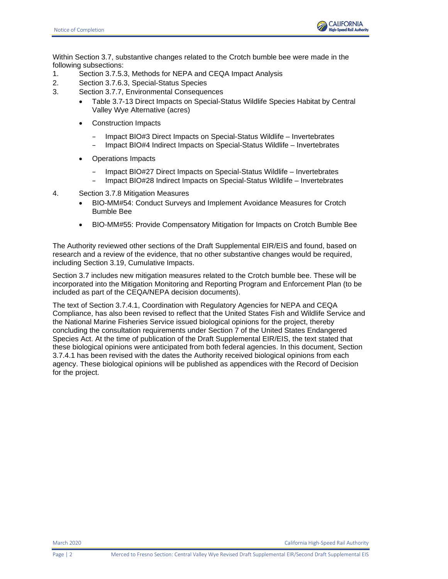

Within Section 3.7, substantive changes related to the Crotch bumble bee were made in the following subsections:

- 1. Section 3.7.5.3, Methods for NEPA and CEQA Impact Analysis
- 2. Section 3.7.6.3, Special-Status Species
- 3. Section 3.7.7, Environmental Consequences
	- Table 3.7-13 Direct Impacts on Special-Status Wildlife Species Habitat by Central Valley Wye Alternative (acres)
	- Construction Impacts
		- Impact BIO#3 Direct Impacts on Special-Status Wildlife Invertebrates
		- Impact BIO#4 Indirect Impacts on Special-Status Wildlife Invertebrates
	- Operations Impacts
		- Impact BIO#27 Direct Impacts on Special-Status Wildlife Invertebrates – Impact BIO#28 Indirect Impacts on Special-Status Wildlife – Invertebrates
- 4. Section 3.7.8 Mitigation Measures
	- BIO-MM#54: Conduct Surveys and Implement Avoidance Measures for Crotch Bumble Bee
	- BIO-MM#55: Provide Compensatory Mitigation for Impacts on Crotch Bumble Bee

The Authority reviewed other sections of the Draft Supplemental EIR/EIS and found, based on research and a review of the evidence, that no other substantive changes would be required, including Section 3.19, Cumulative Impacts.

Section 3.7 includes new mitigation measures related to the Crotch bumble bee. These will be incorporated into the Mitigation Monitoring and Reporting Program and Enforcement Plan (to be included as part of the CEQA/NEPA decision documents).

The text of Section 3.7.4.1, Coordination with Regulatory Agencies for NEPA and CEQA Compliance, has also been revised to reflect that the United States Fish and Wildlife Service and the National Marine Fisheries Service issued biological opinions for the project, thereby concluding the consultation requirements under Section 7 of the United States Endangered Species Act. At the time of publication of the Draft Supplemental EIR/EIS, the text stated that these biological opinions were anticipated from both federal agencies. In this document, Section 3.7.4.1 has been revised with the dates the Authority received biological opinions from each agency. These biological opinions will be published as appendices with the Record of Decision for the project.